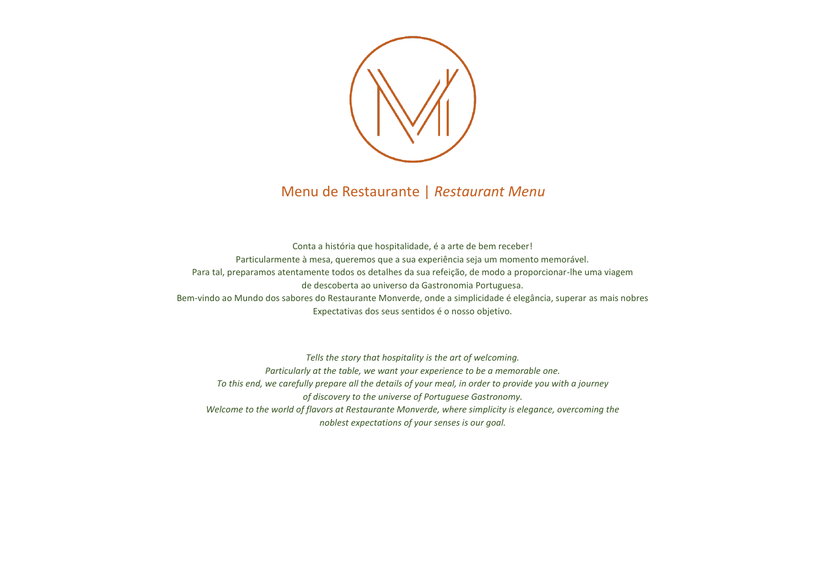

# Menu de Restaurante | *Restaurant Menu*

Conta a história que hospitalidade, é a arte de bem receber! Particularmente à mesa, queremos que a sua experiência seja um momento memorável. Para tal, preparamos atentamente todos os detalhes da sua refeição, de modo a proporcionar-lhe uma viagem de descoberta ao universo da Gastronomia Portuguesa. Bem-vindo ao Mundo dos sabores do Restaurante Monverde, onde a simplicidade é elegância, superar as mais nobres Expectativas dos seus sentidos é o nosso objetivo.

*Tells the story that hospitality is the art of welcoming. Particularly at the table, we want your experience to be a memorable one. To this end, we carefully prepare all the details of your meal, in order to provide you with a journey of discovery to the universe of Portuguese Gastronomy. Welcome to the world of flavors at Restaurante Monverde, where simplicity is elegance, overcoming the noblest expectations of your senses is our goal.*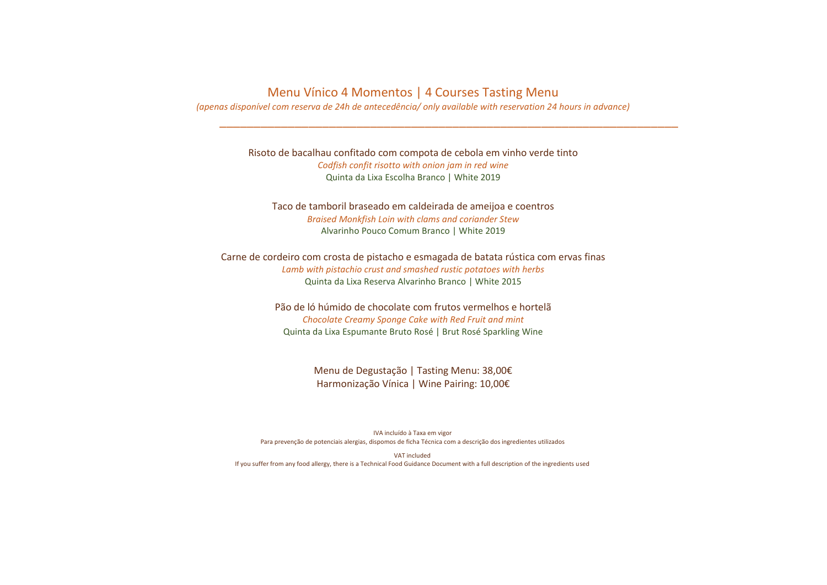#### Menu Vínico 4 Momentos | 4 Courses Tasting Menu

*(apenas disponível com reserva de 24h de antecedência/ only available with reservation 24 hours in advance)*

\_\_\_\_\_\_\_\_\_\_\_\_\_\_\_\_\_\_\_\_\_\_\_\_\_\_\_\_\_\_\_\_\_\_\_\_\_\_\_\_\_\_\_\_\_\_\_\_\_\_\_\_\_\_\_\_\_\_\_\_\_\_\_\_\_\_\_

Risoto de bacalhau confitado com compota de cebola em vinho verde tinto *Codfish confit risotto with onion jam in red wine* Quinta da Lixa Escolha Branco | White 2019

Taco de tamboril braseado em caldeirada de ameijoa e coentros *Braised Monkfish Loin with clams and coriander Stew*  Alvarinho Pouco Comum Branco | White 2019

Carne de cordeiro com crosta de pistacho e esmagada de batata rústica com ervas finas *Lamb with pistachio crust and smashed rustic potatoes with herbs* Quinta da Lixa Reserva Alvarinho Branco | White 2015

> Pão de ló húmido de chocolate com frutos vermelhos e hortelã *Chocolate Creamy Sponge Cake with Red Fruit and mint* Quinta da Lixa Espumante Bruto Rosé | Brut Rosé Sparkling Wine

> > Menu de Degustação | Tasting Menu: 38,00€ Harmonização Vínica | Wine Pairing: 10,00€

IVA incluído à Taxa em vigor Para prevenção de potenciais alergias, dispomos de ficha Técnica com a descrição dos ingredientes utilizados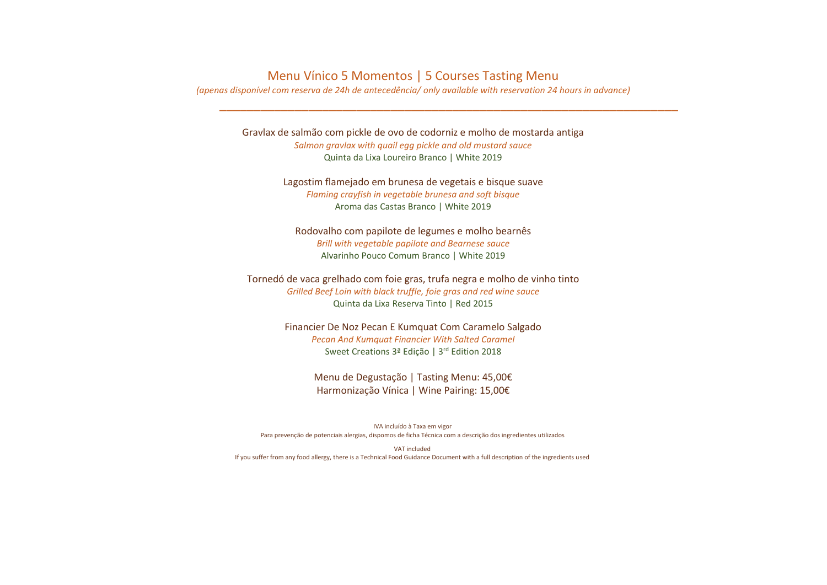#### Menu Vínico 5 Momentos | 5 Courses Tasting Menu

*(apenas disponível com reserva de 24h de antecedência/ only available with reservation 24 hours in advance)*

\_\_\_\_\_\_\_\_\_\_\_\_\_\_\_\_\_\_\_\_\_\_\_\_\_\_\_\_\_\_\_\_\_\_\_\_\_\_\_\_\_\_\_\_\_\_\_\_\_\_\_\_\_\_\_\_\_\_\_\_\_\_\_\_\_\_\_

Gravlax de salmão com pickle de ovo de codorniz e molho de mostarda antiga *Salmon gravlax with quail egg pickle and old mustard sauce* Quinta da Lixa Loureiro Branco | White 2019

> Lagostim flamejado em brunesa de vegetais e bisque suave *Flaming crayfish in vegetable brunesa and soft bisque* Aroma das Castas Branco | White 2019

Rodovalho com papilote de legumes e molho bearnês *Brill with vegetable papilote and Bearnese sauce* Alvarinho Pouco Comum Branco | White 2019

Tornedó de vaca grelhado com foie gras, trufa negra e molho de vinho tinto *Grilled Beef Loin with black truffle, foie gras and red wine sauce* Quinta da Lixa Reserva Tinto | Red 2015

> Financier De Noz Pecan E Kumquat Com Caramelo Salgado *Pecan And Kumquat Financier With Salted Caramel* Sweet Creations 3ª Edição | 3<sup>rd</sup> Edition 2018

> > Menu de Degustação | Tasting Menu: 45,00€ Harmonização Vínica | Wine Pairing: 15,00€

IVA incluído à Taxa em vigor Para prevenção de potenciais alergias, dispomos de ficha Técnica com a descrição dos ingredientes utilizados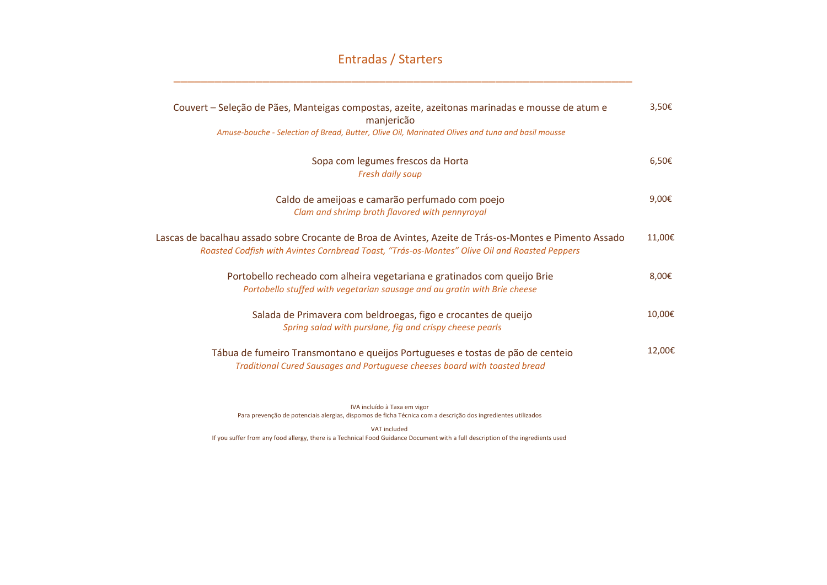## Entradas / Starters

 $\overline{a}$  , and the contribution of the contribution of the contribution of the contribution of the contribution of the contribution of the contribution of the contribution of the contribution of the contribution of the co

| Couvert – Seleção de Pães, Manteigas compostas, azeite, azeitonas marinadas e mousse de atum e<br>manjericão<br>Amuse-bouche - Selection of Bread, Butter, Olive Oil, Marinated Olives and tuna and basil mousse | $3,50$ € |
|------------------------------------------------------------------------------------------------------------------------------------------------------------------------------------------------------------------|----------|
| Sopa com legumes frescos da Horta<br><b>Fresh daily soup</b>                                                                                                                                                     | $6,50$ € |
| Caldo de ameijoas e camarão perfumado com poejo<br>Clam and shrimp broth flavored with pennyroyal                                                                                                                | 9,00€    |
| Lascas de bacalhau assado sobre Crocante de Broa de Avintes, Azeite de Trás-os-Montes e Pimento Assado<br>Roasted Codfish with Avintes Cornbread Toast, "Trás-os-Montes" Olive Oil and Roasted Peppers           | 11,00€   |
| Portobello recheado com alheira vegetariana e gratinados com queijo Brie<br>Portobello stuffed with vegetarian sausage and au gratin with Brie cheese                                                            | 8,00€    |
| Salada de Primavera com beldroegas, figo e crocantes de queijo<br>Spring salad with purslane, fig and crispy cheese pearls                                                                                       | 10,00€   |
| Tábua de fumeiro Transmontano e queijos Portugueses e tostas de pão de centeio<br>Traditional Cured Sausages and Portuguese cheeses board with toasted bread                                                     | 12,00€   |

IVA incluído à Taxa em vigor Para prevenção de potenciais alergias, dispomos de ficha Técnica com a descrição dos ingredientes utilizados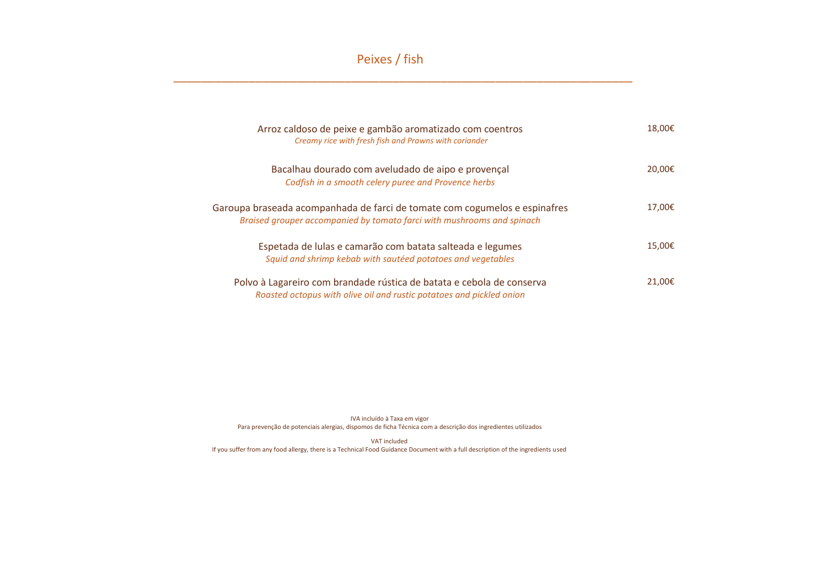Peixes / fish

\_\_\_\_\_\_\_\_\_\_\_\_\_\_\_\_\_\_\_\_\_\_\_\_\_\_\_\_\_\_\_\_\_\_\_\_\_\_\_\_\_\_\_\_\_\_\_\_\_\_\_\_\_\_\_\_\_\_\_\_\_\_\_\_\_\_\_

| Arroz caldoso de peixe e gambão aromatizado com coentros<br>Creamy rice with fresh fish and Prawns with coriander                                    | 18,00€ |
|------------------------------------------------------------------------------------------------------------------------------------------------------|--------|
| Bacalhau dourado com aveludado de aipo e provençal<br>Codfish in a smooth celery puree and Provence herbs                                            | 20,00€ |
| Garoupa braseada acompanhada de farci de tomate com cogumelos e espinafres<br>Braised grouper accompanied by tomato farci with mushrooms and spinach | 17,00€ |
| Espetada de lulas e camarão com batata salteada e legumes<br>Squid and shrimp kebab with sautéed potatoes and vegetables                             | 15,00€ |
| Polvo à Lagareiro com brandade rústica de batata e cebola de conserva<br>Roasted octopus with olive oil and rustic potatoes and pickled onion        | 21,00€ |

IVA incluído à Taxa em vigor Para prevenção de potenciais alergias, dispomos de ficha Técnica com a descrição dos ingredientes utilizados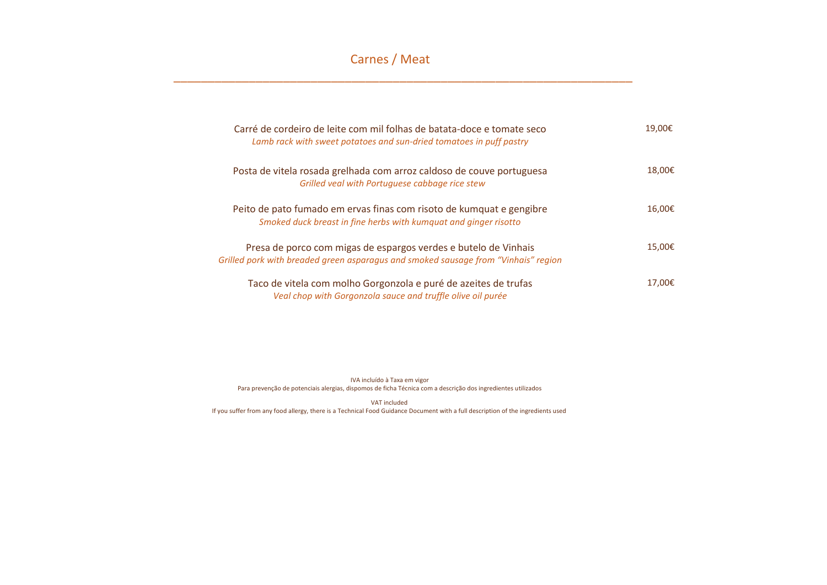## Carnes / Meat

\_\_\_\_\_\_\_\_\_\_\_\_\_\_\_\_\_\_\_\_\_\_\_\_\_\_\_\_\_\_\_\_\_\_\_\_\_\_\_\_\_\_\_\_\_\_\_\_\_\_\_\_\_\_\_\_\_\_\_\_\_\_\_\_\_\_\_

| Carré de cordeiro de leite com mil folhas de batata-doce e tomate seco<br>Lamb rack with sweet potatoes and sun-dried tomatoes in puff pastry         | 19,00€ |
|-------------------------------------------------------------------------------------------------------------------------------------------------------|--------|
| Posta de vitela rosada grelhada com arroz caldoso de couve portuguesa<br>Grilled veal with Portuguese cabbage rice stew                               | 18,00€ |
| Peito de pato fumado em ervas finas com risoto de kumquat e gengibre<br>Smoked duck breast in fine herbs with kumquat and ginger risotto              | 16.00€ |
| Presa de porco com migas de espargos verdes e butelo de Vinhais<br>Grilled pork with breaded green asparagus and smoked sausage from "Vinhais" region | 15,00€ |
| Taco de vitela com molho Gorgonzola e puré de azeites de trufas<br>Veal chop with Gorgonzola sauce and truffle olive oil purée                        | 17.00€ |

IVA incluído à Taxa em vigor Para prevenção de potenciais alergias, dispomos de ficha Técnica com a descrição dos ingredientes utilizados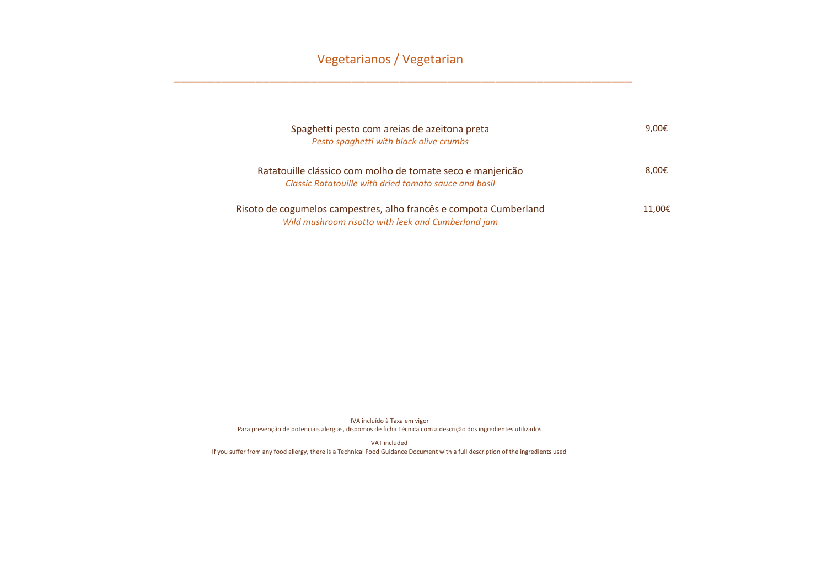## Vegetarianos / Vegetarian

\_\_\_\_\_\_\_\_\_\_\_\_\_\_\_\_\_\_\_\_\_\_\_\_\_\_\_\_\_\_\_\_\_\_\_\_\_\_\_\_\_\_\_\_\_\_\_\_\_\_\_\_\_\_\_\_\_\_\_\_\_\_\_\_\_\_\_

| Spaghetti pesto com areias de azeitona preta<br>Pesto spaghetti with black olive crumbs                                 | 9,00 $\epsilon$ |
|-------------------------------------------------------------------------------------------------------------------------|-----------------|
| Ratatouille clássico com molho de tomate seco e manjericão<br>Classic Ratatouille with dried tomato sauce and basil     | 8,00€           |
| Risoto de cogumelos campestres, alho francês e compota Cumberland<br>Wild mushroom risotto with leek and Cumberland jam | 11.00€          |

IVA incluído à Taxa em vigor Para prevenção de potenciais alergias, dispomos de ficha Técnica com a descrição dos ingredientes utilizados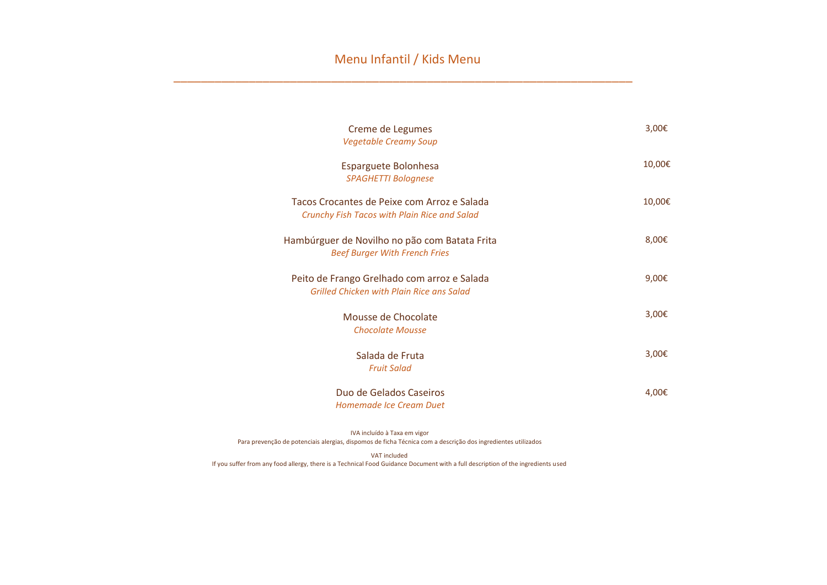\_\_\_\_\_\_\_\_\_\_\_\_\_\_\_\_\_\_\_\_\_\_\_\_\_\_\_\_\_\_\_\_\_\_\_\_\_\_\_\_\_\_\_\_\_\_\_\_\_\_\_\_\_\_\_\_\_\_\_\_\_\_\_\_\_\_\_

| Creme de Legumes<br><b>Vegetable Creamy Soup</b>                                            | 3,00€  |
|---------------------------------------------------------------------------------------------|--------|
| Esparguete Bolonhesa<br><b>SPAGHETTI Bolognese</b>                                          | 10,00€ |
| Tacos Crocantes de Peixe com Arroz e Salada<br>Crunchy Fish Tacos with Plain Rice and Salad | 10,00€ |
| Hambúrguer de Novilho no pão com Batata Frita<br><b>Beef Burger With French Fries</b>       | 8,00€  |
| Peito de Frango Grelhado com arroz e Salada<br>Grilled Chicken with Plain Rice ans Salad    | 9,00€  |
| Mousse de Chocolate<br><b>Chocolate Mousse</b>                                              | 3,00€  |
| Salada de Fruta<br><b>Fruit Salad</b>                                                       | 3,00€  |
| Duo de Gelados Caseiros<br>Homemade Ice Cream Duet                                          | 4,00€  |

IVA incluído à Taxa em vigor Para prevenção de potenciais alergias, dispomos de ficha Técnica com a descrição dos ingredientes utilizados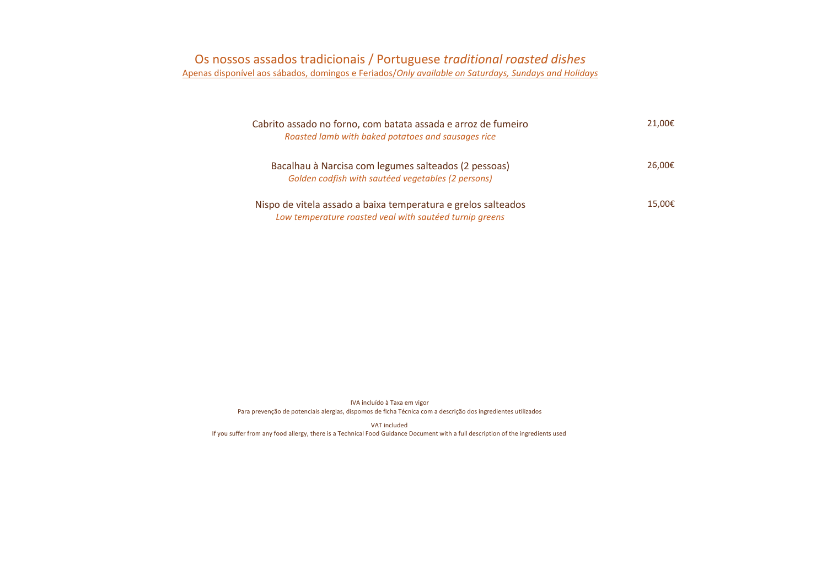| Cabrito assado no forno, com batata assada e arroz de fumeiro<br>Roasted lamb with baked potatoes and sausages rice      | 21.00€ |
|--------------------------------------------------------------------------------------------------------------------------|--------|
| Bacalhau à Narcisa com legumes salteados (2 pessoas)<br>Golden codfish with sautéed vegetables (2 persons)               | 26,00€ |
| Nispo de vitela assado a baixa temperatura e grelos salteados<br>Low temperature roasted veal with sautéed turnip greens | 15,00€ |

IVA incluído à Taxa em vigor Para prevenção de potenciais alergias, dispomos de ficha Técnica com a descrição dos ingredientes utilizados